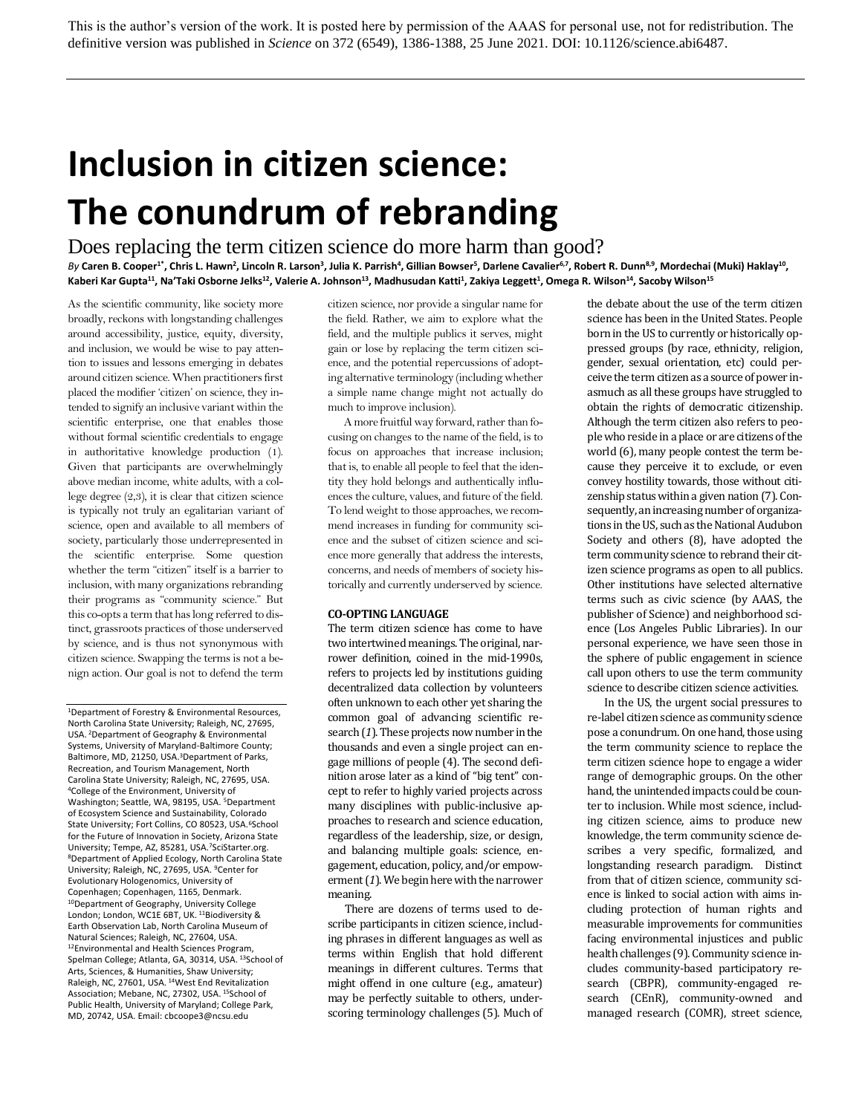# **Inclusion in citizen science: The conundrum of rebranding**

Does replacing the term citizen science do more harm than good?

By Caren B. Cooper<sup>1\*</sup>, Chris L. Hawn<sup>2</sup>, Lincoln R. Larson<sup>3</sup>, Julia K. Parrish<sup>4</sup>, Gillian Bowser<sup>5</sup>, Darlene Cavalier<sup>6.7</sup>, Robert R. Dunn<sup>8.9</sup>, Mordechai (Muki) Haklay<sup>10</sup>, Kaberi Kar Gupta<sup>11</sup>, Na'Taki Osborne Jelks<sup>12</sup>, Valerie A. Johnson<sup>13</sup>, Madhusudan Katti<sup>1</sup>, Zakiya Leggett<sup>1</sup>, Omega R. Wilson<sup>14</sup>, Sacoby Wilson<sup>15</sup>

As the scientific community, like society more broadly, reckons with longstanding challenges around accessibility, justice, equity, diversity, and inclusion, we would be wise to pay attention to issues and lessons emerging in debates around citizen science. When practitioners first placed the modifier 'citizen' on science, they intended to signify an inclusive variant within the scientific enterprise, one that enables those without formal scientific credentials to engage in authoritative knowledge production (1). Given that participants are overwhelmingly above median income, white adults, with a college degree (2,3), it is clear that citizen science is typically not truly an egalitarian variant of science, open and available to all members of society, particularly those underrepresented in the scientific enterprise. Some question whether the term "citizen" itself is a barrier to inclusion, with many organizations rebranding their programs as "community science." But this co-opts a term that has long referred to distinct, grassroots practices of those underserved by science, and is thus not synonymous with citizen science. Swapping the terms is not a benign action. Our goal is not to defend the term

<sup>1</sup>Department of Forestry & Environmental Resources, North Carolina State University; Raleigh, NC, 27695, USA. <sup>2</sup>Department of Geography & Environmental Systems, University of Maryland-Baltimore County; Baltimore, MD, 21250, USA. <sup>3</sup>Department of Parks, Recreation, and Tourism Management, North Carolina State University; Raleigh, NC, 27695, USA. <sup>4</sup>College of the Environment, University of Washington; Seattle, WA, 98195, USA. <sup>5</sup>Department of Ecosystem Science and Sustainability, Colorado State University; Fort Collins, CO 80523, USA.<sup>6</sup>School for the Future of Innovation in Society, Arizona State University; Tempe, AZ, 85281, USA.<sup>7</sup>SciStarter.org. <sup>8</sup>Department of Applied Ecology, North Carolina State University; Raleigh, NC, 27695, USA. <sup>9</sup>Center for Evolutionary Hologenomics, University of Copenhagen; Copenhagen, 1165, Denmark. <sup>10</sup>Department of Geography, University College London; London, WC1E 6BT, UK.<sup>11</sup>Biodiversity & Earth Observation Lab, North Carolina Museum of Natural Sciences; Raleigh, NC, 27604, USA. 12Environmental and Health Sciences Program, Spelman College; Atlanta, GA, 30314, USA. 13School of Arts, Sciences, & Humanities, Shaw University; Raleigh, NC, 27601, USA. <sup>14</sup>West End Revitalization Association; Mebane, NC, 27302, USA. 15School of Public Health, University of Maryland; College Park, MD, 20742, USA. Email: cbcoope3@ncsu.edu

citizen science, nor provide a singular name for the field. Rather, we aim to explore what the field, and the multiple publics it serves, might gain or lose by replacing the term citizen science, and the potential repercussions of adopting alternative terminology (including whether a simple name change might not actually do much to improve inclusion).

 A more fruitful way forward, rather than focusing on changes to the name of the field, is to focus on approaches that increase inclusion; that is, to enable all people to feel that the identity they hold belongs and authentically influences the culture, values, and future of the field. To lend weight to those approaches, we recommend increases in funding for community science and the subset of citizen science and science more generally that address the interests, concerns, and needs of members of society historically and currently underserved by science.

## **CO-OPTING LANGUAGE**

The term citizen science has come to have two intertwined meanings. The original, narrower definition, coined in the mid-1990s, refers to projects led by institutions guiding decentralized data collection by volunteers often unknown to each other yet sharing the common goal of advancing scientific research (*1*). These projects now number in the thousands and even a single project can engage millions of people (4). The second definition arose later as a kind of "big tent" concept to refer to highly varied projects across many disciplines with public-inclusive approaches to research and science education, regardless of the leadership, size, or design, and balancing multiple goals: science, engagement, education, policy, and/or empowerment (1). We begin here with the narrower meaning.

There are dozens of terms used to describe participants in citizen science, including phrases in different languages as well as terms within English that hold different meanings in different cultures. Terms that might offend in one culture (e.g., amateur) may be perfectly suitable to others, underscoring terminology challenges (5). Much of the debate about the use of the term citizen science has been in the United States. People born in the US to currently or historically oppressed groups (by race, ethnicity, religion, gender, sexual orientation, etc) could perceive the term citizen as a source of power inasmuch as all these groups have struggled to obtain the rights of democratic citizenship. Although the term citizen also refers to people who reside in a place or are citizens of the world (6), many people contest the term because they perceive it to exclude, or even convey hostility towards, those without citizenship status within a given nation (7). Consequently, an increasing number of organizations in the US, such as the National Audubon Society and others (8), have adopted the term community science to rebrand their citizen science programs as open to all publics. Other institutions have selected alternative terms such as civic science (by AAAS, the publisher of Science) and neighborhood science (Los Angeles Public Libraries). In our personal experience, we have seen those in the sphere of public engagement in science call upon others to use the term community science to describe citizen science activities.

In the US, the urgent social pressures to re-label citizen science as community science pose a conundrum. On one hand, those using the term community science to replace the term citizen science hope to engage a wider range of demographic groups. On the other hand, the unintended impacts could be counter to inclusion. While most science, including citizen science, aims to produce new knowledge, the term community science describes a very specific, formalized, and longstanding research paradigm. Distinct from that of citizen science, community science is linked to social action with aims including protection of human rights and measurable improvements for communities facing environmental injustices and public health challenges (9). Community science includes community-based participatory research (CBPR), community-engaged research (CEnR), community-owned and managed research (COMR), street science,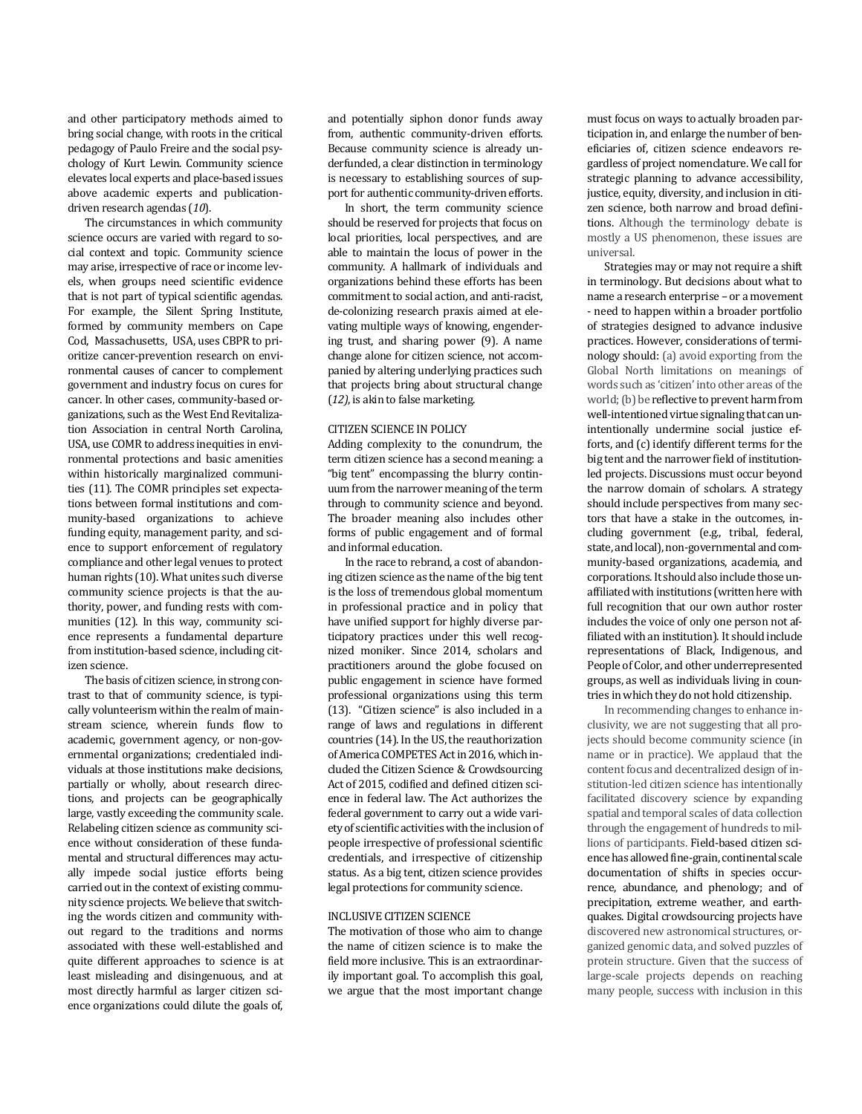and other participatory methods aimed to bring social change, with roots in the critical pedagogy of Paulo Freire and the social psychology of Kurt Lewin. Community science elevates local experts and place-based issues above academic experts and publicationdriven research agendas (*10*).

The circumstances in which community science occurs are varied with regard to social context and topic. Community science may arise, irrespective of race or income levels, when groups need scientific evidence that is not part of typical scientific agendas. For example, the Silent Spring Institute, formed by community members on Cape Cod, Massachusetts, USA, uses CBPR to prioritize cancer-prevention research on environmental causes of cancer to complement government and industry focus on cures for cancer. In other cases, community-based organizations, such as the West End Revitalization Association in central North Carolina, USA, use COMR to address inequities in environmental protections and basic amenities within historically marginalized communities (11). The COMR principles set expectations between formal institutions and community-based organizations to achieve funding equity, management parity, and science to support enforcement of regulatory compliance and other legal venues to protect human rights (10). What unites such diverse community science projects is that the authority, power, and funding rests with communities (12). In this way, community science represents a fundamental departure from institution-based science, including citizen science.

The basis of citizen science, in strong contrast to that of community science, is typically volunteerism within the realm of mainstream science, wherein funds flow to academic, government agency, or non-governmental organizations; credentialed individuals at those institutions make decisions, partially or wholly, about research directions, and projects can be geographically large, vastly exceeding the community scale. Relabeling citizen science as community science without consideration of these fundamental and structural differences may actually impede social justice efforts being carried out in the context of existing community science projects. We believe that switching the words citizen and community without regard to the traditions and norms associated with these well-established and quite different approaches to science is at least misleading and disingenuous, and at most directly harmful as larger citizen science organizations could dilute the goals of,

and potentially siphon donor funds away from, authentic community-driven efforts. Because community science is already underfunded, a clear distinction in terminology is necessary to establishing sources of support for authentic community-driven efforts.

In short, the term community science should be reserved for projects that focus on local priorities, local perspectives, and are able to maintain the locus of power in the community. A hallmark of individuals and organizations behind these efforts has been commitment to social action, and anti-racist, de-colonizing research praxis aimed at elevating multiple ways of knowing, engendering trust, and sharing power (9). A name change alone for citizen science, not accompanied by altering underlying practices such that projects bring about structural change (*12)*, is akin to false marketing.

#### CITIZEN SCIENCE IN POLICY

Adding complexity to the conundrum, the term citizen science has a second meaning: a "big tent" encompassing the blurry continuum from the narrower meaning of the term through to community science and beyond. The broader meaning also includes other forms of public engagement and of formal and informal education.

In the race to rebrand, a cost of abandoning citizen science as the name of the big tent is the loss of tremendous global momentum in professional practice and in policy that have unified support for highly diverse participatory practices under this well recognized moniker. Since 2014, scholars and practitioners around the globe focused on public engagement in science have formed professional organizations using this term (13). "Citizen science" is also included in a range of laws and regulations in different countries (14). In the US, the reauthorization of America COMPETES Act in 2016, which included the Citizen Science & Crowdsourcing Act of 2015, codified and defined citizen science in federal law. The Act authorizes the federal government to carry out a wide variety of scientific activities with the inclusion of people irrespective of professional scientific credentials, and irrespective of citizenship status. As a big tent, citizen science provides legal protections for community science.

#### INCLUSIVE CITIZEN SCIENCE

The motivation of those who aim to change the name of citizen science is to make the field more inclusive. This is an extraordinarily important goal. To accomplish this goal, we argue that the most important change must focus on ways to actually broaden participation in, and enlarge the number of beneficiaries of, citizen science endeavors regardless of project nomenclature. We call for strategic planning to advance accessibility, justice, equity, diversity, and inclusion in citizen science, both narrow and broad definitions. Although the terminology debate is mostly a US phenomenon, these issues are universal.

Strategies may or may not require a shift in terminology. But decisions about what to name a research enterprise – or a movement - need to happen within a broader portfolio of strategies designed to advance inclusive practices. However, considerations of terminology should: (a) avoid exporting from the Global North limitations on meanings of words such as 'citizen' into other areas of the world; (b) be reflective to prevent harm from well-intentioned virtue signaling that can unintentionally undermine social justice efforts, and (c) identify different terms for the big tent and the narrower field of institutionled projects. Discussions must occur beyond the narrow domain of scholars. A strategy should include perspectives from many sectors that have a stake in the outcomes, including government (e.g., tribal, federal, state, and local), non-governmental and community-based organizations, academia, and corporations. It should also include those unaffiliated with institutions (written here with full recognition that our own author roster includes the voice of only one person not affiliated with an institution). It should include representations of Black, Indigenous, and People of Color, and other underrepresented groups, as well as individuals living in countries in which they do not hold citizenship.

In recommending changes to enhance inclusivity, we are not suggesting that all projects should become community science (in name or in practice). We applaud that the content focus and decentralized design of institution-led citizen science has intentionally facilitated discovery science by expanding spatial and temporal scales of data collection through the engagement of hundreds to millions of participants. Field-based citizen science has allowed fine-grain, continental scale documentation of shifts in species occurrence, abundance, and phenology; and of precipitation, extreme weather, and earthquakes. Digital crowdsourcing projects have discovered new astronomical structures, organized genomic data, and solved puzzles of protein structure. Given that the success of large-scale projects depends on reaching many people, success with inclusion in this